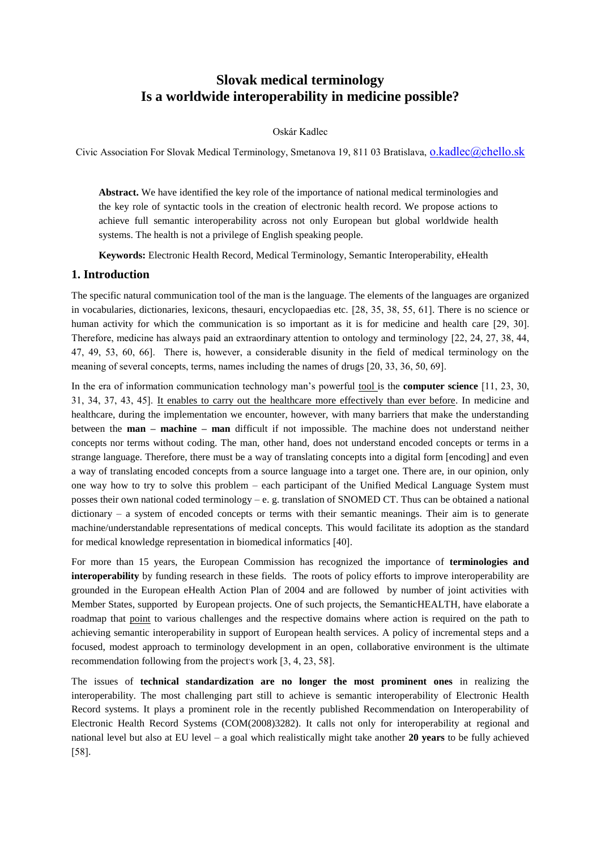# **Slovak medical terminology Is a worldwide interoperability in medicine possible?**

### Oskár Kadlec

Civic Association For Slovak Medical Terminology, Smetanova 19, 811 03 Bratislava, [o.kadlec@chello.sk](mailto:o.kadlec@chello.sk)

**Abstract.** We have identified the key role of the importance of national medical terminologies and the key role of syntactic tools in the creation of electronic health record. We propose actions to achieve full semantic interoperability across not only European but global worldwide health systems. The health is not a privilege of English speaking people.

**Keywords:** Electronic Health Record, Medical Terminology, Semantic Interoperability, eHealth

### **1. Introduction**

The specific natural communication tool of the man is the language. The elements of the languages are organized in vocabularies, dictionaries, lexicons, thesauri, encyclopaedias etc. [28, 35, 38, 55, 61]. There is no science or human activity for which the communication is so important as it is for medicine and health care [29, 30]. Therefore, medicine has always paid an extraordinary attention to ontology and terminology [22, 24, 27, 38, 44, 47, 49, 53, 60, 66]. There is, however, a considerable disunity in the field of medical terminology on the meaning of several concepts, terms, names including the names of drugs [20, 33, 36, 50, 69].

In the era of information communication technology man's powerful tool is the **computer science** [11, 23, 30, 31, 34, 37, 43, 45]. It enables to carry out the healthcare more effectively than ever before. In medicine and healthcare, during the implementation we encounter, however, with many barriers that make the understanding between the **man – machine – man** difficult if not impossible. The machine does not understand neither concepts nor terms without coding. The man, other hand, does not understand encoded concepts or terms in a strange language. Therefore, there must be a way of translating concepts into a digital form [encoding] and even a way of translating encoded concepts from a source language into a target one. There are, in our opinion, only one way how to try to solve this problem – each participant of the Unified Medical Language System must posses their own national coded terminology – e. g. translation of SNOMED CT. Thus can be obtained a national dictionary – a system of encoded concepts or terms with their semantic meanings. Their aim is to generate machine/understandable representations of medical concepts. This would facilitate its adoption as the standard for medical knowledge representation in biomedical informatics [40].

For more than 15 years, the European Commission has recognized the importance of **terminologies and interoperability** by funding research in these fields. The roots of policy efforts to improve interoperability are grounded in the European eHealth Action Plan of 2004 and are followed by number of joint activities with Member States, supported by European projects. One of such projects, the SemanticHEALTH, have elaborate a roadmap that point to various challenges and the respective domains where action is required on the path to achieving semantic interoperability in support of European health services. A policy of incremental steps and a focused, modest approach to terminology development in an open, collaborative environment is the ultimate recommendation following from the project's work  $[3, 4, 23, 58]$ .

The issues of **technical standardization are no longer the most prominent ones** in realizing the interoperability. The most challenging part still to achieve is semantic interoperability of Electronic Health Record systems. It plays a prominent role in the recently published Recommendation on Interoperability of Electronic Health Record Systems (COM(2008)3282). It calls not only for interoperability at regional and national level but also at EU level – a goal which realistically might take another **20 years** to be fully achieved [58].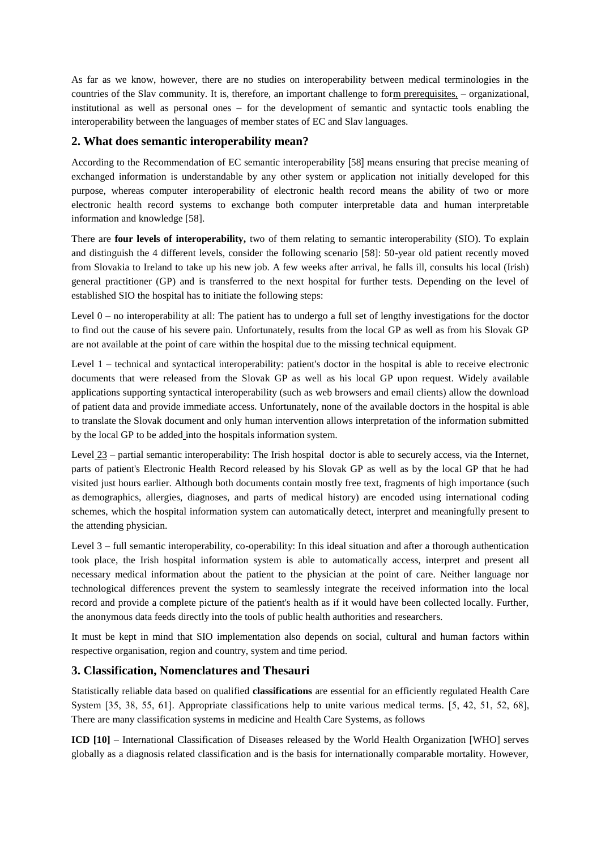As far as we know, however, there are no studies on interoperability between medical terminologies in the countries of the Slav community. It is, therefore, an important challenge to form prerequisites, – organizational, institutional as well as personal ones – for the development of semantic and syntactic tools enabling the interoperability between the languages of member states of EC and Slav languages.

## **2. What does semantic interoperability mean?**

According to the Recommendation of EC semantic interoperability [58] means ensuring that precise meaning of exchanged information is understandable by any other system or application not initially developed for this purpose, whereas computer interoperability of electronic health record means the ability of two or more electronic health record systems to exchange both computer interpretable data and human interpretable information and knowledge [58].

There are **four levels of interoperability,** two of them relating to semantic interoperability (SIO). To explain and distinguish the 4 different levels, consider the following scenario [58]: 50-year old patient recently moved from Slovakia to Ireland to take up his new job. A few weeks after arrival, he falls ill, consults his local (Irish) general practitioner (GP) and is transferred to the next hospital for further tests. Depending on the level of established SIO the hospital has to initiate the following steps:

Level  $0 -$  no interoperability at all: The patient has to undergo a full set of lengthy investigations for the doctor to find out the cause of his severe pain. Unfortunately, results from the local GP as well as from his Slovak GP are not available at the point of care within the hospital due to the missing technical equipment.

Level 1 – technical and syntactical interoperability: patient's doctor in the hospital is able to receive electronic documents that were released from the Slovak GP as well as his local GP upon request. Widely available applications supporting syntactical interoperability (such as web browsers and email clients) allow the download of patient data and provide immediate access. Unfortunately, none of the available doctors in the hospital is able to translate the Slovak document and only human intervention allows interpretation of the information submitted by the local GP to be added into the hospitals information system.

Level 23 – partial semantic interoperability: The Irish hospital doctor is able to securely access, via the Internet, parts of patient's Electronic Health Record released by his Slovak GP as well as by the local GP that he had visited just hours earlier. Although both documents contain mostly free text, fragments of high importance (such as demographics, allergies, diagnoses, and parts of medical history) are encoded using international coding schemes, which the hospital information system can automatically detect, interpret and meaningfully present to the attending physician.

Level 3 – full semantic interoperability, co-operability: In this ideal situation and after a thorough authentication took place, the Irish hospital information system is able to automatically access, interpret and present all necessary medical information about the patient to the physician at the point of care. Neither language nor technological differences prevent the system to seamlessly integrate the received information into the local record and provide a complete picture of the patient's health as if it would have been collected locally. Further, the anonymous data feeds directly into the tools of public health authorities and researchers.

It must be kept in mind that SIO implementation also depends on social, cultural and human factors within respective organisation, region and country, system and time period.

### **3. Classification, Nomenclatures and Thesauri**

Statistically reliable data based on qualified **classifications** are essential for an efficiently regulated Health Care System [35, 38, 55, 61]. Appropriate classifications help to unite various medical terms. [5, 42, 51, 52, 68], There are many classification systems in medicine and Health Care Systems, as follows

**ICD [10]** – International Classification of Diseases released by the World Health Organization [WHO] serves globally as a diagnosis related classification and is the basis for internationally comparable mortality. However,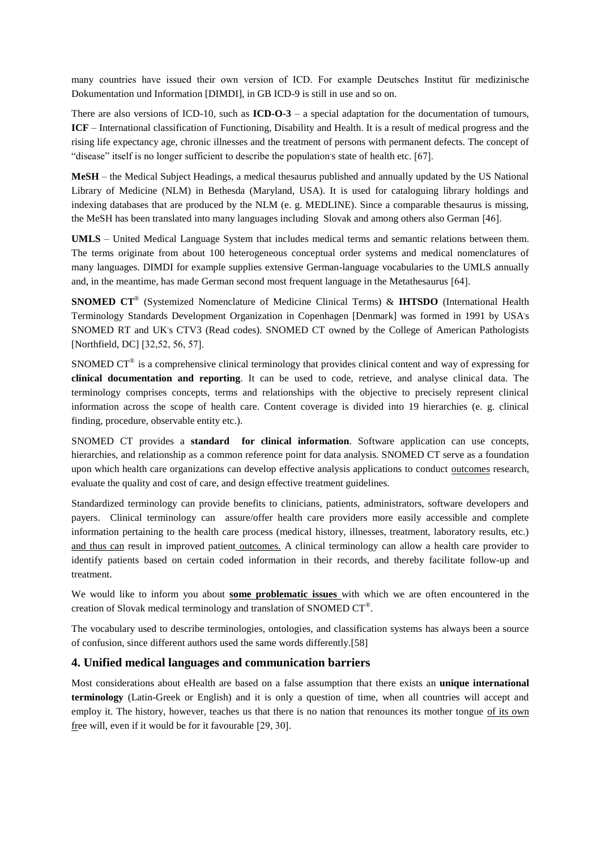many countries have issued their own version of ICD. For example Deutsches Institut für medizinische Dokumentation und Information [DIMDI], in GB ICD-9 is still in use and so on.

There are also versions of ICD-10, such as **ICD-O-3** – a special adaptation for the documentation of tumours, **ICF** – International classification of Functioning, Disability and Health. It is a result of medical progress and the rising life expectancy age, chronic illnesses and the treatment of persons with permanent defects. The concept of "disease" itself is no longer sufficient to describe the population's state of health etc. [67].

**MeSH** – the Medical Subject Headings, a medical thesaurus published and annually updated by the US National Library of Medicine (NLM) in Bethesda (Maryland, USA). It is used for cataloguing library holdings and indexing databases that are produced by the NLM (e. g. MEDLINE). Since a comparable thesaurus is missing, the MeSH has been translated into many languages including Slovak and among others also German [46].

**UMLS** – United Medical Language System that includes medical terms and semantic relations between them. The terms originate from about 100 heterogeneous conceptual order systems and medical nomenclatures of many languages. DIMDI for example supplies extensive German-language vocabularies to the UMLS annually and, in the meantime, has made German second most frequent language in the Metathesaurus [64].

**SNOMED CT**® (Systemized Nomenclature of Medicine Clinical Terms) & **IHTSDO** (International Health Terminology Standards Development Organization in Copenhagen [Denmark] was formed in 1991 by USA's SNOMED RT and UK's CTV3 (Read codes). SNOMED CT owned by the College of American Pathologists [Northfield, DC] [32,52, 56, 57].

SNOMED  $CT^{\circ}$  is a comprehensive clinical terminology that provides clinical content and way of expressing for **clinical documentation and reporting**. It can be used to code, retrieve, and analyse clinical data. The terminology comprises concepts, terms and relationships with the objective to precisely represent clinical information across the scope of health care. Content coverage is divided into 19 hierarchies (e. g. clinical finding, procedure, observable entity etc.).

SNOMED CT provides a **standard for clinical information**. Software application can use concepts, hierarchies, and relationship as a common reference point for data analysis. SNOMED CT serve as a foundation upon which health care organizations can develop effective analysis applications to conduct outcomes research, evaluate the quality and cost of care, and design effective treatment guidelines.

Standardized terminology can provide benefits to clinicians, patients, administrators, software developers and payers. Clinical terminology can assure/offer health care providers more easily accessible and complete information pertaining to the health care process (medical history, illnesses, treatment, laboratory results, etc.) and thus can result in improved patient outcomes. A clinical terminology can allow a health care provider to identify patients based on certain coded information in their records, and thereby facilitate follow-up and treatment.

We would like to inform you about **some problematic issues** with which we are often encountered in the creation of Slovak medical terminology and translation of SNOMED CT $^{\circ}$ .

The vocabulary used to describe terminologies, ontologies, and classification systems has always been a source of confusion, since different authors used the same words differently.[58]

### **4. Unified medical languages and communication barriers**

Most considerations about eHealth are based on a false assumption that there exists an **unique international terminology** (Latin-Greek or English) and it is only a question of time, when all countries will accept and employ it. The history, however, teaches us that there is no nation that renounces its mother tongue of its own free will, even if it would be for it favourable [29, 30].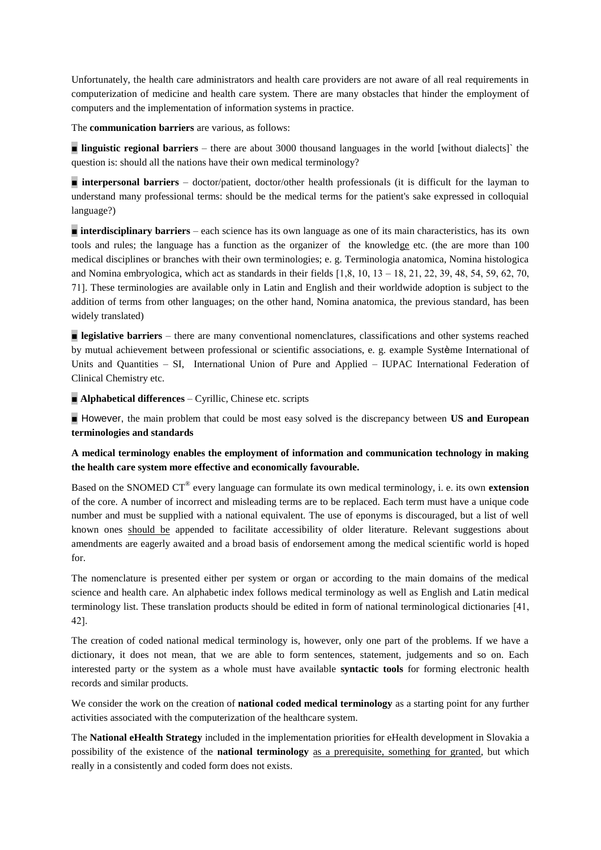Unfortunately, the health care administrators and health care providers are not aware of all real requirements in computerization of medicine and health care system. There are many obstacles that hinder the employment of computers and the implementation of information systems in practice.

The **communication barriers** are various, as follows:

**Inquistic regional barriers** – there are about 3000 thousand languages in the world [without dialects]` the question is: should all the nations have their own medical terminology?

**n interpersonal barriers** – doctor/patient, doctor/other health professionals (it is difficult for the layman to understand many professional terms: should be the medical terms for the patient's sake expressed in colloquial language?)

**number interdisciplinary barriers** – each science has its own language as one of its main characteristics, has its own tools and rules; the language has a function as the organizer of the knowledge etc. (the are more than 100 medical disciplines or branches with their own terminologies; e. g. Terminologia anatomica, Nomina histologica and Nomina embryologica, which act as standards in their fields  $[1,8, 10, 13 - 18, 21, 22, 39, 48, 54, 59, 62, 70,$ 71]. These terminologies are available only in Latin and English and their worldwide adoption is subject to the addition of terms from other languages; on the other hand, Nomina anatomica, the previous standard, has been widely translated)

**Example 3 legislative barriers** – there are many conventional nomenclatures, classifications and other systems reached by mutual achievement between professional or scientific associations, e. g. example Système International of Units and Quantities – SI, International Union of Pure and Applied – IUPAC International Federation of Clinical Chemistry etc.

■ **Alphabetical differences** – Cyrillic, Chinese etc. scripts

■ However, the main problem that could be most easy solved is the discrepancy between **US and European terminologies and standards** 

**A medical terminology enables the employment of information and communication technology in making the health care system more effective and economically favourable.**

Based on the SNOMED CT® every language can formulate its own medical terminology, i. e. its own **extension**  of the core. A number of incorrect and misleading terms are to be replaced. Each term must have a unique code number and must be supplied with a national equivalent. The use of eponyms is discouraged, but a list of well known ones should be appended to facilitate accessibility of older literature. Relevant suggestions about amendments are eagerly awaited and a broad basis of endorsement among the medical scientific world is hoped for.

The nomenclature is presented either per system or organ or according to the main domains of the medical science and health care. An alphabetic index follows medical terminology as well as English and Latin medical terminology list. These translation products should be edited in form of national terminological dictionaries [41, 42].

The creation of coded national medical terminology is, however, only one part of the problems. If we have a dictionary, it does not mean, that we are able to form sentences, statement, judgements and so on. Each interested party or the system as a whole must have available **syntactic tools** for forming electronic health records and similar products.

We consider the work on the creation of **national coded medical terminology** as a starting point for any further activities associated with the computerization of the healthcare system.

The **National eHealth Strategy** included in the implementation priorities for eHealth development in Slovakia a possibility of the existence of the **national terminology** as a prerequisite, something for granted, but which really in a consistently and coded form does not exists.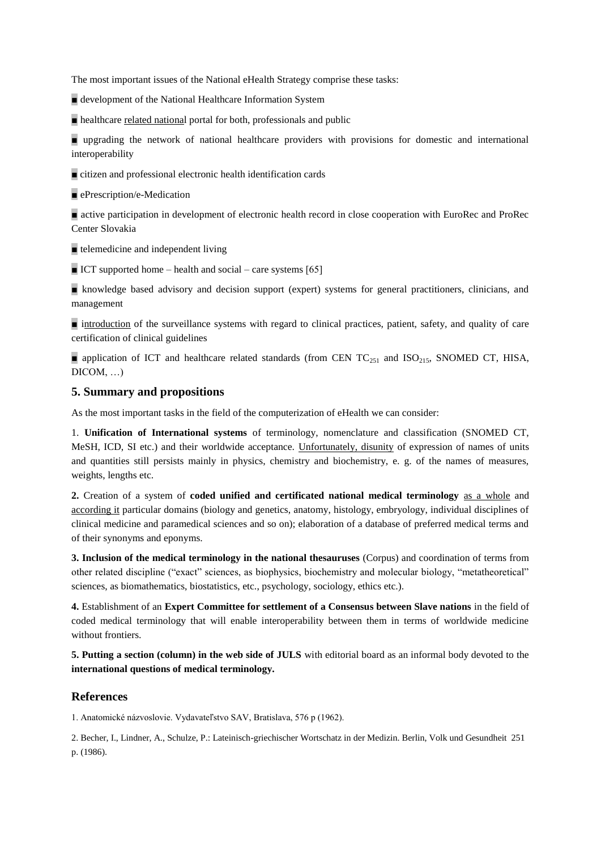The most important issues of the National eHealth Strategy comprise these tasks:

■ development of the National Healthcare Information System

■ healthcare related national portal for both, professionals and public

■ upgrading the network of national healthcare providers with provisions for domestic and international interoperability

■ citizen and professional electronic health identification cards

■ ePrescription/e-Medication

■ active participation in development of electronic health record in close cooperation with EuroRec and ProRec Center Slovakia

■ telemedicine and independent living

 $\blacksquare$  ICT supported home – health and social – care systems [65]

■ knowledge based advisory and decision support (expert) systems for general practitioners, clinicians, and management

■ introduction of the surveillance systems with regard to clinical practices, patient, safety, and quality of care certification of clinical guidelines

■ application of ICT and healthcare related standards (from CEN TC<sub>251</sub> and ISO<sub>215</sub>, SNOMED CT, HISA,  $DICOM$ , ...

## **5. Summary and propositions**

As the most important tasks in the field of the computerization of eHealth we can consider:

1. **Unification of International systems** of terminology, nomenclature and classification (SNOMED CT, MeSH, ICD, SI etc.) and their worldwide acceptance. Unfortunately, disunity of expression of names of units and quantities still persists mainly in physics, chemistry and biochemistry, e. g. of the names of measures, weights, lengths etc.

**2.** Creation of a system of **coded unified and certificated national medical terminology** as a whole and according it particular domains (biology and genetics, anatomy, histology, embryology, individual disciplines of clinical medicine and paramedical sciences and so on); elaboration of a database of preferred medical terms and of their synonyms and eponyms.

**3. Inclusion of the medical terminology in the national thesauruses** (Corpus) and coordination of terms from other related discipline ("exact" sciences, as biophysics, biochemistry and molecular biology, "metatheoretical" sciences, as biomathematics, biostatistics, etc., psychology, sociology, ethics etc.).

**4.** Establishment of an **Expert Committee for settlement of a Consensus between Slave nations** in the field of coded medical terminology that will enable interoperability between them in terms of worldwide medicine without frontiers.

**5. Putting a section (column) in the web side of JULS** with editorial board as an informal body devoted to the **international questions of medical terminology.**

#### **References**

1. Anatomické názvoslovie. Vydavateľstvo SAV, Bratislava, 576 p (1962).

2. Becher, I., Lindner, A., Schulze, P.: Lateinisch-griechischer Wortschatz in der Medizin. Berlin, Volk und Gesundheit 251 p. (1986).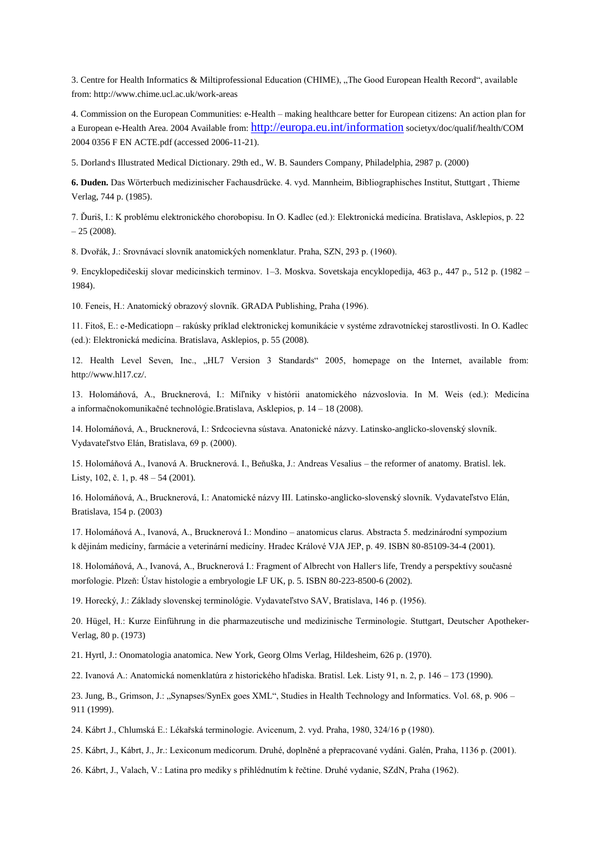3. Centre for Health Informatics & Miltiprofessional Education (CHIME), "The Good European Health Record", available from: http://www.chime.ucl.ac.uk/work-areas

4. Commission on the European Communities: e-Health – making healthcare better for European citizens: An action plan for a European e-Health Area. 2004 Available from: <http://europa.eu.int/information> societyx/doc/qualif/health/COM 2004 0356 F EN ACTE.pdf (accessed 2006-11-21).

5. Dorland, s Illustrated Medical Dictionary. 29th ed., W. B. Saunders Company, Philadelphia, 2987 p. (2000)

**6. Duden.** Das Wörterbuch medizinischer Fachausdrücke. 4. vyd. Mannheim, Bibliographisches Institut, Stuttgart , Thieme Verlag, 744 p. (1985).

7. Ďuriš, I.: K problému elektronického chorobopisu. In O. Kadlec (ed.): Elektronická medicína. Bratislava, Asklepios, p. 22  $-25(2008)$ .

8. Dvořák, J.: Srovnávací slovník anatomických nomenklatur. Praha, SZN, 293 p. (1960).

9. Encyklopedičeskij slovar medicinskich terminov. 1–3. Moskva. Sovetskaja encyklopedija, 463 p., 447 p., 512 p. (1982 – 1984).

10. Feneis, H.: Anatomický obrazový slovník. GRADA Publishing, Praha (1996).

11. Fitoš, E.: e-Medicatiopn – rakúsky príklad elektronickej komunikácie v systéme zdravotníckej starostlivosti. In O. Kadlec (ed.): Elektronická medicína. Bratislava, Asklepios, p. 55 (2008).

12. Health Level Seven, Inc., "HL7 Version 3 Standards" 2005, homepage on the Internet, available from: http://www.hl17.cz/.

13. Holomáňová, A., Brucknerová, I.: Míľniky v histórii anatomického názvoslovia. In M. Weis (ed.): Medicína a informačnokomunikačné technológie.Bratislava, Asklepios, p. 14 – 18 (2008).

14. Holomáňová, A., Brucknerová, I.: Srdcocievna sústava. Anatonické názvy. Latinsko-anglicko-slovenský slovník. Vydavateľstvo Elán, Bratislava, 69 p. (2000).

15. Holomáňová A., Ivanová A. Brucknerová. I., Beňuška, J.: Andreas Vesalius – the reformer of anatomy. Bratisl. lek. Listy, 102, č. 1, p. 48 – 54 (2001).

16. Holomáňová, A., Brucknerová, I.: Anatomické názvy III. Latinsko-anglicko-slovenský slovník. Vydavateľstvo Elán, Bratislava, 154 p. (2003)

17. Holomáňová A., Ivanová, A., Brucknerová I.: Mondino – anatomicus clarus. Abstracta 5. medzinárodní sympozium k dějinám medicíny, farmácie a veterinární medicíny. Hradec Králové VJA JEP, p. 49. ISBN 80-85109-34-4 (2001).

18. Holomáňová, A., Ivanová, A., Brucknerová I.: Fragment of Albrecht von Haller's life, Trendy a perspektívy současné morfologie. Plzeň: Ústav histologie a embryologie LF UK, p. 5. ISBN 80-223-8500-6 (2002).

19. Horecký, J.: Základy slovenskej terminológie. Vydavateľstvo SAV, Bratislava, 146 p. (1956).

20. Hügel, H.: Kurze Einführung in die pharmazeutische und medizinische Terminologie. Stuttgart, Deutscher Apotheker-Verlag, 80 p. (1973)

21. Hyrtl, J.: Onomatologia anatomica. New York, Georg Olms Verlag, Hildesheim, 626 p. (1970).

22. Ivanová A.: Anatomická nomenklatúra z historického hľadiska. Bratisl. Lek. Listy 91, n. 2, p. 146 – 173 (1990).

23. Jung, B., Grimson, J.: "Synapses/SynEx goes XML", Studies in Health Technology and Informatics. Vol. 68, p. 906 – 911 (1999).

24. Kábrt J., Chlumská E.: Lékařská terminologie. Avicenum, 2. vyd. Praha, 1980, 324/16 p (1980).

25. Kábrt, J., Kábrt, J., Jr.: Lexiconum medicorum. Druhé, doplněné a přepracované vydáni. Galén, Praha, 1136 p. (2001).

26. Kábrt, J., Valach, V.: Latina pro mediky s přihlédnutím k řečtine. Druhé vydanie, SZdN, Praha (1962).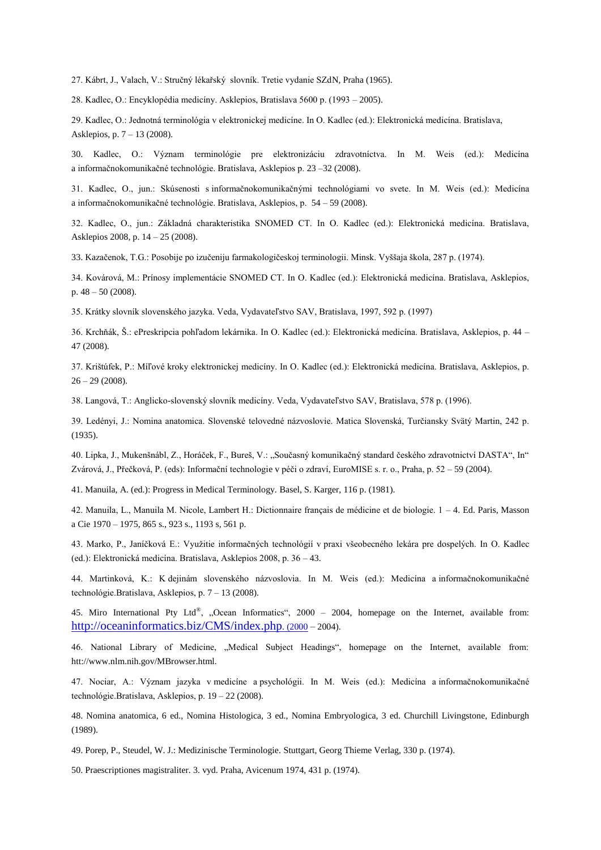27. Kábrt, J., Valach, V.: Stručný lékařský slovník. Tretie vydanie SZdN, Praha (1965).

28. Kadlec, O.: Encyklopédia medicíny. Asklepios, Bratislava 5600 p. (1993 – 2005).

29. Kadlec, O.: Jednotná terminológia v elektronickej medicíne. In O. Kadlec (ed.): Elektronická medicína. Bratislava, Asklepios, p. 7 – 13 (2008).

30. Kadlec, O.: Význam terminológie pre elektronizáciu zdravotníctva. In M. Weis (ed.): Medicína a informačnokomunikačné technológie. Bratislava, Asklepios p. 23 –32 (2008).

31. Kadlec, O., jun.: Skúsenosti s informačnokomunikačnými technológiami vo svete. In M. Weis (ed.): Medicína a informačnokomunikačné technológie. Bratislava, Asklepios, p. 54 – 59 (2008).

32. Kadlec, O., jun.: Základná charakteristika SNOMED CT. In O. Kadlec (ed.): Elektronická medicína. Bratislava, Asklepios 2008, p. 14 – 25 (2008).

33. Kazačenok, T.G.: Posobije po izučeniju farmakologičeskoj terminologii. Minsk. Vyššaja škola, 287 p. (1974).

34. Kovárová, M.: Prínosy implementácie SNOMED CT. In O. Kadlec (ed.): Elektronická medicína. Bratislava, Asklepios, p. 48 – 50 (2008).

35. Krátky slovník slovenského jazyka. Veda, Vydavateľstvo SAV, Bratislava, 1997, 592 p. (1997)

36. Krchňák, Š.: ePreskripcia pohľadom lekárnika. In O. Kadlec (ed.): Elektronická medicína. Bratislava, Asklepios, p. 44 – 47 (2008).

37. Krištúfek, P.: Míľové kroky elektronickej medicíny. In O. Kadlec (ed.): Elektronická medicína. Bratislava, Asklepios, p.  $26 - 29$  (2008).

38. Langová, T.: Anglicko-slovenský slovník medicíny. Veda, Vydavateľstvo SAV, Bratislava, 578 p. (1996).

39. Ledényi, J.: Nomina anatomica. Slovenské telovedné názvoslovie. Matica Slovenská, Turčiansky Svätý Martin, 242 p. (1935).

40. Lipka, J., Mukenšnábl, Z., Horáček, F., Bureš, V.: "Současný komunikačný standard českého zdravotnictví DASTA", In" Zvárová, J., Přečková, P. (eds): Informační technologie v péči o zdraví, EuroMISE s. r. o., Praha, p. 52 – 59 (2004).

41. Manuila, A. (ed.): Progress in Medical Terminology. Basel, S. Karger, 116 p. (1981).

42. Manuila, L., Manuila M. Nicole, Lambert H.: Dictionnaire français de médicine et de biologie. 1 – 4. Ed. Paris, Masson a Cie 1970 – 1975, 865 s., 923 s., 1193 s, 561 p.

43. Marko, P., Janíčková E.: Využitie informačných technológií v praxi všeobecného lekára pre dospelých. In O. Kadlec (ed.): Elektronická medicína. Bratislava, Asklepios 2008, p. 36 – 43.

44. Martinková, K.: K dejinám slovenského názvoslovia. In M. Weis (ed.): Medicína a informačnokomunikačné technológie.Bratislava, Asklepios, p. 7 – 13 (2008).

45. Miro International Pty Ltd®, "Ocean Informatics", 2000 – 2004, homepage on the Internet, available from: [http://oceaninformatics.biz/CMS/index.php](http://oceaninformatics.biz/CMS/index.php.%20(2000). (2000 – 2004).

46. National Library of Medicine, "Medical Subject Headings", homepage on the Internet, available from: htt://www.nlm.nih.gov/MBrowser.html.

47. Nociar, A.: Význam jazyka v medicíne a psychológii. In M. Weis (ed.): Medicína a informačnokomunikačné technológie.Bratislava, Asklepios, p. 19 – 22 (2008).

48. Nomina anatomica, 6 ed., Nomina Histologica, 3 ed., Nomina Embryologica, 3 ed. Churchill Livingstone, Edinburgh (1989).

49. Porep, P., Steudel, W. J.: Medizinische Terminologie. Stuttgart, Georg Thieme Verlag, 330 p. (1974).

50. Praescriptiones magistraliter. 3. vyd. Praha, Avicenum 1974, 431 p. (1974).